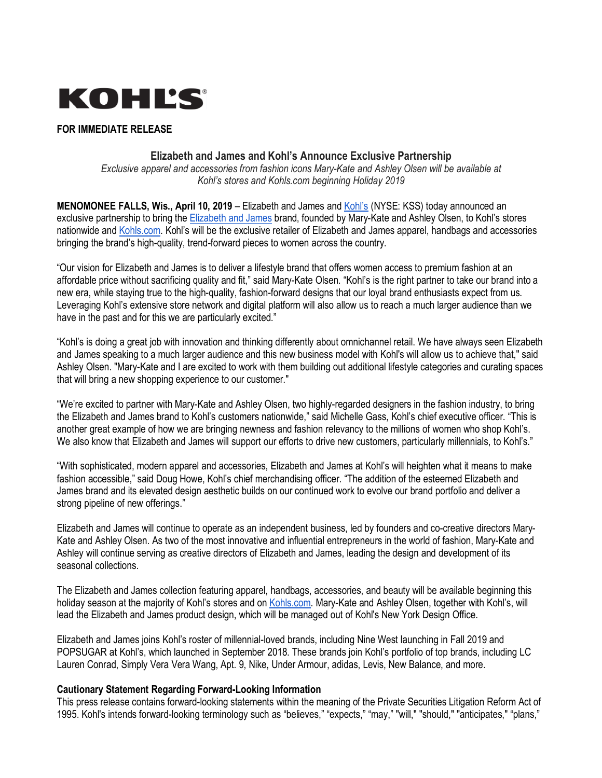

# **FOR IMMEDIATE RELEASE**

## **Elizabeth and James and Kohl's Announce Exclusive Partnership**

*Exclusive apparel and accessories from fashion icons Mary-Kate and Ashley Olsen will be available at Kohl's stores and Kohls.com beginning Holiday 2019*

**MENOMONEE FALLS, Wis., April 10, 2019** – Elizabeth and James and Kohl's (NYSE: KSS) today announced an exclusive partnership to bring the Elizabeth and James brand, founded by Mary-Kate and Ashley Olsen, to Kohl's stores nationwide and Kohls.com. Kohl's will be the exclusive retailer of Elizabeth and James apparel, handbags and accessories bringing the brand's high-quality, trend-forward pieces to women across the country.

"Our vision for Elizabeth and James is to deliver a lifestyle brand that offers women access to premium fashion at an affordable price without sacrificing quality and fit," said Mary-Kate Olsen. "Kohl's is the right partner to take our brand into a new era, while staying true to the high-quality, fashion-forward designs that our loyal brand enthusiasts expect from us. Leveraging Kohl's extensive store network and digital platform will also allow us to reach a much larger audience than we have in the past and for this we are particularly excited."

"Kohl's is doing a great job with innovation and thinking differently about omnichannel retail. We have always seen Elizabeth and James speaking to a much larger audience and this new business model with Kohl's will allow us to achieve that," said Ashley Olsen. "Mary-Kate and I are excited to work with them building out additional lifestyle categories and curating spaces that will bring a new shopping experience to our customer."

"We're excited to partner with Mary-Kate and Ashley Olsen, two highly-regarded designers in the fashion industry, to bring the Elizabeth and James brand to Kohl's customers nationwide," said Michelle Gass, Kohl's chief executive officer. "This is another great example of how we are bringing newness and fashion relevancy to the millions of women who shop Kohl's. We also know that Elizabeth and James will support our efforts to drive new customers, particularly millennials, to Kohl's."

"With sophisticated, modern apparel and accessories, Elizabeth and James at Kohl's will heighten what it means to make fashion accessible," said Doug Howe, Kohl's chief merchandising officer. "The addition of the esteemed Elizabeth and James brand and its elevated design aesthetic builds on our continued work to evolve our brand portfolio and deliver a strong pipeline of new offerings."

Elizabeth and James will continue to operate as an independent business, led by founders and co-creative directors Mary-Kate and Ashley Olsen. As two of the most innovative and influential entrepreneurs in the world of fashion, Mary-Kate and Ashley will continue serving as creative directors of Elizabeth and James, leading the design and development of its seasonal collections.

The Elizabeth and James collection featuring apparel, handbags, accessories, and beauty will be available beginning this holiday season at the majority of Kohl's stores and on Kohls.com. Mary-Kate and Ashley Olsen, together with Kohl's, will lead the Elizabeth and James product design, which will be managed out of Kohl's New York Design Office.

Elizabeth and James joins Kohl's roster of millennial-loved brands, including Nine West launching in Fall 2019 and POPSUGAR at Kohl's, which launched in September 2018. These brands join Kohl's portfolio of top brands, including LC Lauren Conrad, Simply Vera Vera Wang, Apt. 9, Nike, Under Armour, adidas, Levis, New Balance, and more.

### **Cautionary Statement Regarding Forward-Looking Information**

This press release contains forward-looking statements within the meaning of the Private Securities Litigation Reform Act of 1995. Kohl's intends forward-looking terminology such as "believes," "expects," "may," "will," "should," "anticipates," "plans,"